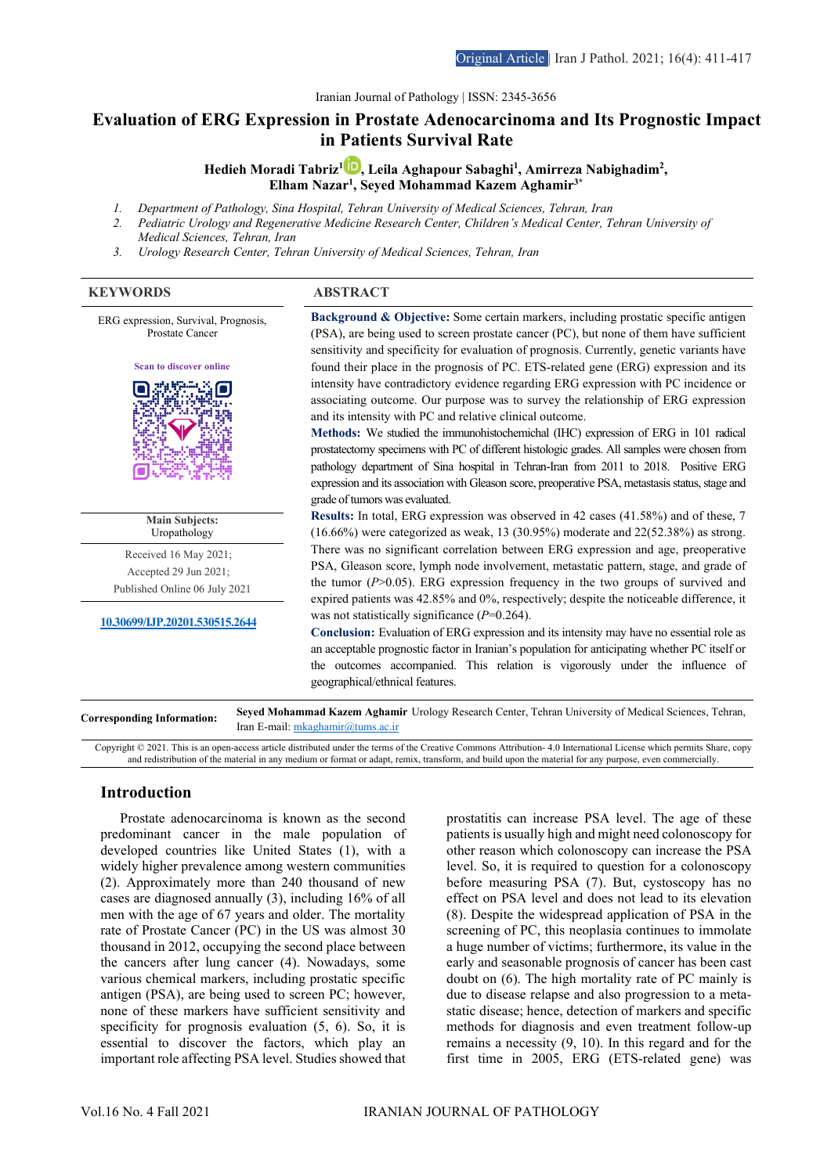Iranian Journal of Pathology | ISSN: 2345-3656

# **Evaluation of ERG Expression in Prostate Adenocarcinoma and Its Prognostic Impact in Patients Survival Rate**

**Hedieh Moradi Tabriz1 [,](https://www.orcid.org/0000-0002-4033-3171) Leila Aghapour Sabaghi1 , Amirreza Nabighadim2 , Elham Nazar1 , Seyed Mohammad Kazem Aghamir3\***

- *1. Department of Pathology, Sina Hospital, Tehran University of Medical Sciences, Tehran, Iran*
- *2. Pediatric Urology and Regenerative Medicine Research Center, Children's Medical Center, Tehran University of Medical Sciences, Tehran, Iran*
- *3. Urology Research Center, Tehran University of Medical Sciences, Tehran, Iran*

#### **KEYWORDS ABSTRACT**



Copyright © 2021. This is an open-access article distributed under the terms of the Creative Commons Attribution- 4.0 International License which permits Share, copy and redistribution of the material in any medium or format or adapt, remix, transform, and build upon the material for any purpose, even commercially.

## **Introduction**

Prostate adenocarcinoma is known as the second predominant cancer in the male population of developed countries like United States (1), with a widely higher prevalence among western communities (2). Approximately more than 240 thousand of new cases are diagnosed annually (3), including 16% of all men with the age of 67 years and older. The mortality rate of Prostate Cancer (PC) in the US was almost 30 thousand in 2012, occupying the second place between the cancers after lung cancer (4). Nowadays, some various chemical markers, including prostatic specific antigen (PSA), are being used to screen PC; however, none of these markers have sufficient sensitivity and specificity for prognosis evaluation (5, 6). So, it is essential to discover the factors, which play an important role affecting PSA level. Studies showed that

prostatitis can increase PSA level. The age of these patients is usually high and might need colonoscopy for other reason which colonoscopy can increase the PSA level. So, it is required to question for a colonoscopy before measuring PSA (7). But, cystoscopy has no effect on PSA level and does not lead to its elevation (8). Despite the widespread application of PSA in the screening of PC, this neoplasia continues to immolate a huge number of victims; furthermore, its value in the early and seasonable prognosis of cancer has been cast doubt on (6). The high mortality rate of PC mainly is due to disease relapse and also progression to a metastatic disease; hence, detection of markers and specific methods for diagnosis and even treatment follow-up remains a necessity (9, 10). In this regard and for the first time in 2005, ERG (ETS-related gene) was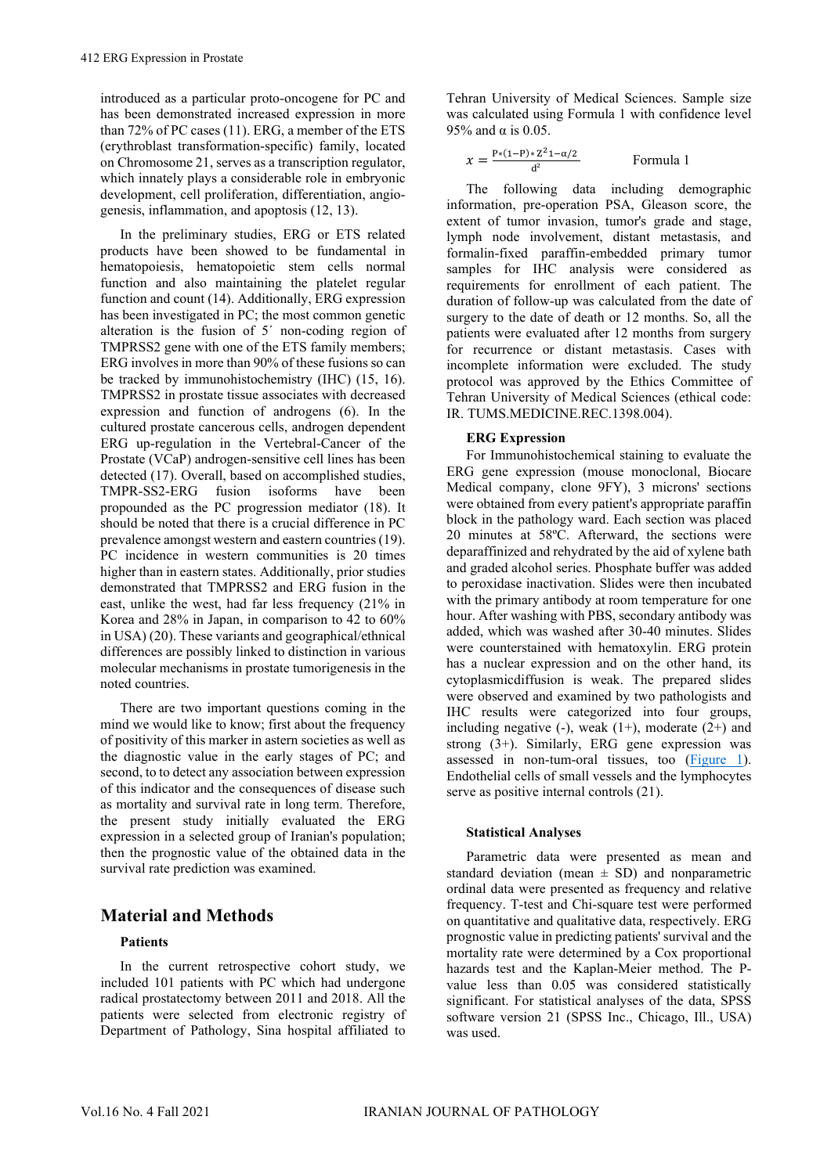introduced as a particular proto-oncogene for PC and has been demonstrated increased expression in more than 72% of PC cases (11). ERG, a member of the ETS (erythroblast transformation-specific) family, located on Chromosome 21, serves as a transcription regulator, which innately plays a considerable role in embryonic development, cell proliferation, differentiation, angiogenesis, inflammation, and apoptosis (12, 13).

In the preliminary studies, ERG or ETS related products have been showed to be fundamental in hematopoiesis, hematopoietic stem cells normal function and also maintaining the platelet regular function and count (14). Additionally, ERG expression has been investigated in PC; the most common genetic alteration is the fusion of 5´ non-coding region of TMPRSS2 gene with one of the ETS family members; ERG involves in more than 90% of these fusions so can be tracked by immunohistochemistry (IHC) (15, 16). TMPRSS2 in prostate tissue associates with decreased expression and function of androgens (6). In the cultured prostate cancerous cells, androgen dependent ERG up-regulation in the Vertebral-Cancer of the Prostate (VCaP) androgen-sensitive cell lines has been detected (17). Overall, based on accomplished studies, TMPR-SS2-ERG fusion isoforms have been propounded as the PC progression mediator (18). It should be noted that there is a crucial difference in PC prevalence amongst western and eastern countries (19). PC incidence in western communities is 20 times higher than in eastern states. Additionally, prior studies demonstrated that TMPRSS2 and ERG fusion in the east, unlike the west, had far less frequency (21% in Korea and 28% in Japan, in comparison to 42 to 60% in USA) (20). These variants and geographical/ethnical differences are possibly linked to distinction in various molecular mechanisms in prostate tumorigenesis in the noted countries.

There are two important questions coming in the mind we would like to know; first about the frequency of positivity of this marker in astern societies as well as the diagnostic value in the early stages of PC; and second, to to detect any association between expression of this indicator and the consequences of disease such as mortality and survival rate in long term. Therefore, the present study initially evaluated the ERG expression in a selected group of Iranian's population; then the prognostic value of the obtained data in the survival rate prediction was examined.

# **Material and Methods**

### **Patients**

In the current retrospective cohort study, we included 101 patients with PC which had undergone radical prostatectomy between 2011 and 2018. All the patients were selected from electronic registry of Department of Pathology, Sina hospital affiliated to

Tehran University of Medical Sciences. Sample size was calculated using Formula 1 with confidence level 95% and  $\alpha$  is 0.05.

$$
x = \frac{P*(1-P)*Z^21-\alpha/2}{d^2}
$$
 Formula 1

The following data including demographic information, pre-operation PSA, Gleason score, the extent of tumor invasion, tumor's grade and stage, lymph node involvement, distant metastasis, and formalin-fixed paraffin-embedded primary tumor samples for IHC analysis were considered as requirements for enrollment of each patient. The duration of follow-up was calculated from the date of surgery to the date of death or 12 months. So, all the patients were evaluated after 12 months from surgery for recurrence or distant metastasis. Cases with incomplete information were excluded. The study protocol was approved by the Ethics Committee of Tehran University of Medical Sciences (ethical code: IR. TUMS.MEDICINE.REC.1398.004).

#### **ERG Expression**

For Immunohistochemical staining to evaluate the ERG gene expression (mouse monoclonal, Biocare Medical company, clone 9FY), 3 microns' sections were obtained from every patient's appropriate paraffin block in the pathology ward. Each section was placed 20 minutes at 58ºC. Afterward, the sections were deparaffinized and rehydrated by the aid of xylene bath and graded alcohol series. Phosphate buffer was added to peroxidase inactivation. Slides were then incubated with the primary antibody at room temperature for one hour. After washing with PBS, secondary antibody was added, which was washed after 30-40 minutes. Slides were counterstained with hematoxylin. ERG protein has a nuclear expression and on the other hand, its cytoplasmicdiffusion is weak. The prepared slides were observed and examined by two pathologists and IHC results were categorized into four groups, including negative  $(-)$ , weak  $(1+)$ , moderate  $(2+)$  and strong  $(3+)$ . Similarly, ERG gene expression was assessed in non-tum-oral tissues, too [\(Figure 1\)](#page-2-0). Endothelial cells of small vessels and the lymphocytes serve as positive internal controls (21).

### **Statistical Analyses**

Parametric data were presented as mean and standard deviation (mean  $\pm$  SD) and nonparametric ordinal data were presented as frequency and relative frequency. T-test and Chi-square test were performed on quantitative and qualitative data, respectively. ERG prognostic value in predicting patients' survival and the mortality rate were determined by a Cox proportional hazards test and the Kaplan-Meier method. The Pvalue less than 0.05 was considered statistically significant. For statistical analyses of the data, SPSS software version 21 (SPSS Inc., Chicago, Ill., USA) was used.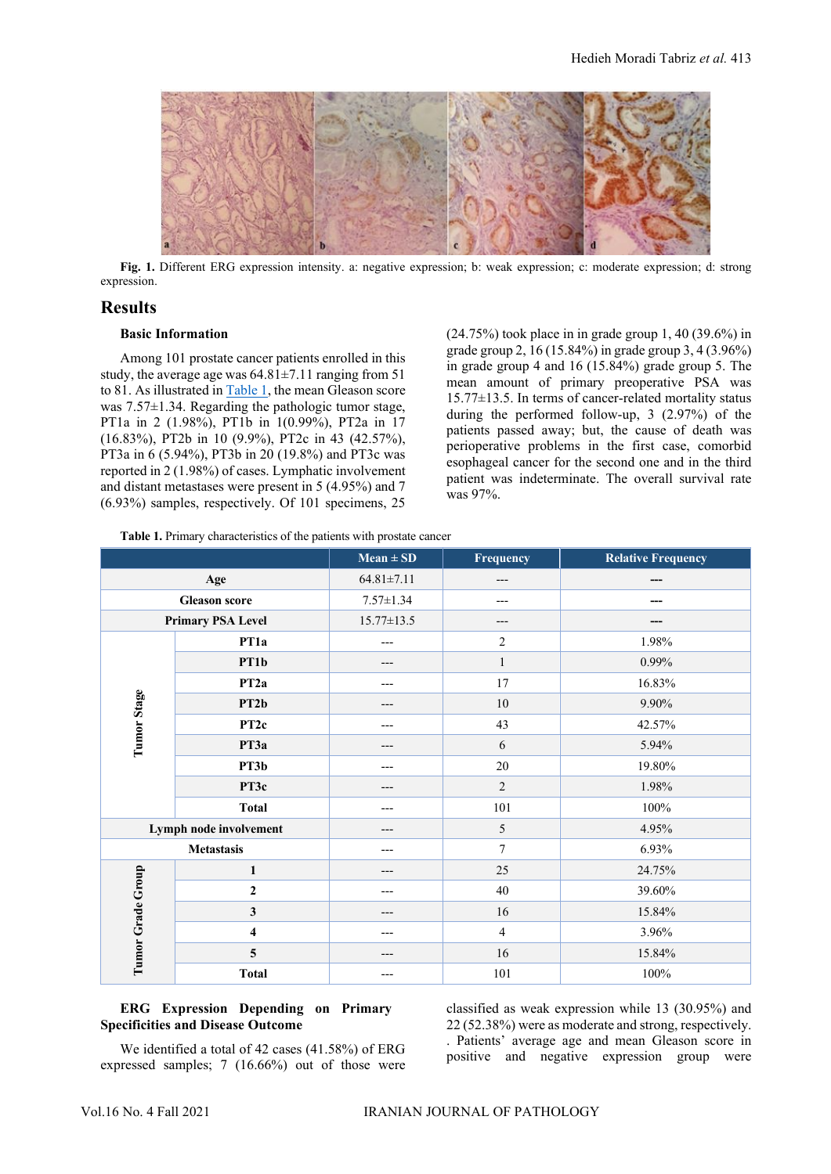

**Fig. 1.** Different ERG expression intensity. a: negative expression; b: weak expression; c: moderate expression; d: strong expression.

### <span id="page-2-0"></span>**Results**

#### **Basic Information**

Among 101 prostate cancer patients enrolled in this study, the average age was 64.81±7.11 ranging from 51 to 81. As illustrated in [Table 1,](#page-2-1) the mean Gleason score was 7.57±1.34. Regarding the pathologic tumor stage, PT1a in 2 (1.98%), PT1b in 1(0.99%), PT2a in 17 (16.83%), PT2b in 10 (9.9%), PT2c in 43 (42.57%), PT3a in 6 (5.94%), PT3b in 20 (19.8%) and PT3c was reported in 2 (1.98%) of cases. Lymphatic involvement and distant metastases were present in 5 (4.95%) and 7 (6.93%) samples, respectively. Of 101 specimens, 25

(24.75%) took place in in grade group 1, 40 (39.6%) in grade group 2, 16 (15.84%) in grade group 3, 4 (3.96%) in grade group 4 and 16 (15.84%) grade group 5. The mean amount of primary preoperative PSA was 15.77±13.5. In terms of cancer-related mortality status during the performed follow-up, 3 (2.97%) of the patients passed away; but, the cause of death was perioperative problems in the first case, comorbid esophageal cancer for the second one and in the third patient was indeterminate. The overall survival rate was 97%.

<span id="page-2-1"></span>**Table 1.** Primary characteristics of the patients with prostate cancer

|                          |                         | $Mean \pm SD$    | Frequency      | <b>Relative Frequency</b> |
|--------------------------|-------------------------|------------------|----------------|---------------------------|
| Age                      |                         | $64.81 \pm 7.11$ | ---            |                           |
| <b>Gleason score</b>     |                         | $7.57 \pm 1.34$  |                |                           |
| <b>Primary PSA Level</b> |                         | $15.77 \pm 13.5$ | ---            |                           |
|                          | PT <sub>1</sub> a       | ---              | $\overline{c}$ | 1.98%                     |
|                          | PT1b                    | ---              | $\mathbf{1}$   | 0.99%                     |
|                          | PT <sub>2a</sub>        |                  | 17             | 16.83%                    |
|                          | PT2b                    |                  | $10\,$         | 9.90%                     |
| Tumor Stage              | PT <sub>2c</sub>        | ---              | 43             | 42.57%                    |
|                          | РТЗа                    |                  | 6              | 5.94%                     |
|                          | PT3b                    |                  | $20\,$         | 19.80%                    |
|                          | PT3c                    |                  | $\overline{2}$ | 1.98%                     |
|                          | <b>Total</b>            | ---              | 101            | $100\%$                   |
| Lymph node involvement   |                         |                  | 5              | 4.95%                     |
| <b>Metastasis</b>        |                         |                  | 7              | 6.93%                     |
|                          | $\mathbf{1}$            |                  | 25             | 24.75%                    |
|                          | $\boldsymbol{2}$        |                  | $40\,$         | 39.60%                    |
|                          | $\mathbf{3}$            | ---              | 16             | 15.84%                    |
|                          | $\overline{\mathbf{4}}$ |                  | $\overline{4}$ | 3.96%                     |
| Tumor Grade Group        | 5                       |                  | 16             | 15.84%                    |
|                          | <b>Total</b>            |                  | 101            | 100%                      |

### **ERG Expression Depending on Primary Specificities and Disease Outcome**

We identified a total of 42 cases (41.58%) of ERG expressed samples; 7 (16.66%) out of those were classified as weak expression while 13 (30.95%) and 22 (52.38%) were as moderate and strong, respectively. . Patients' average age and mean Gleason score in positive and negative expression group were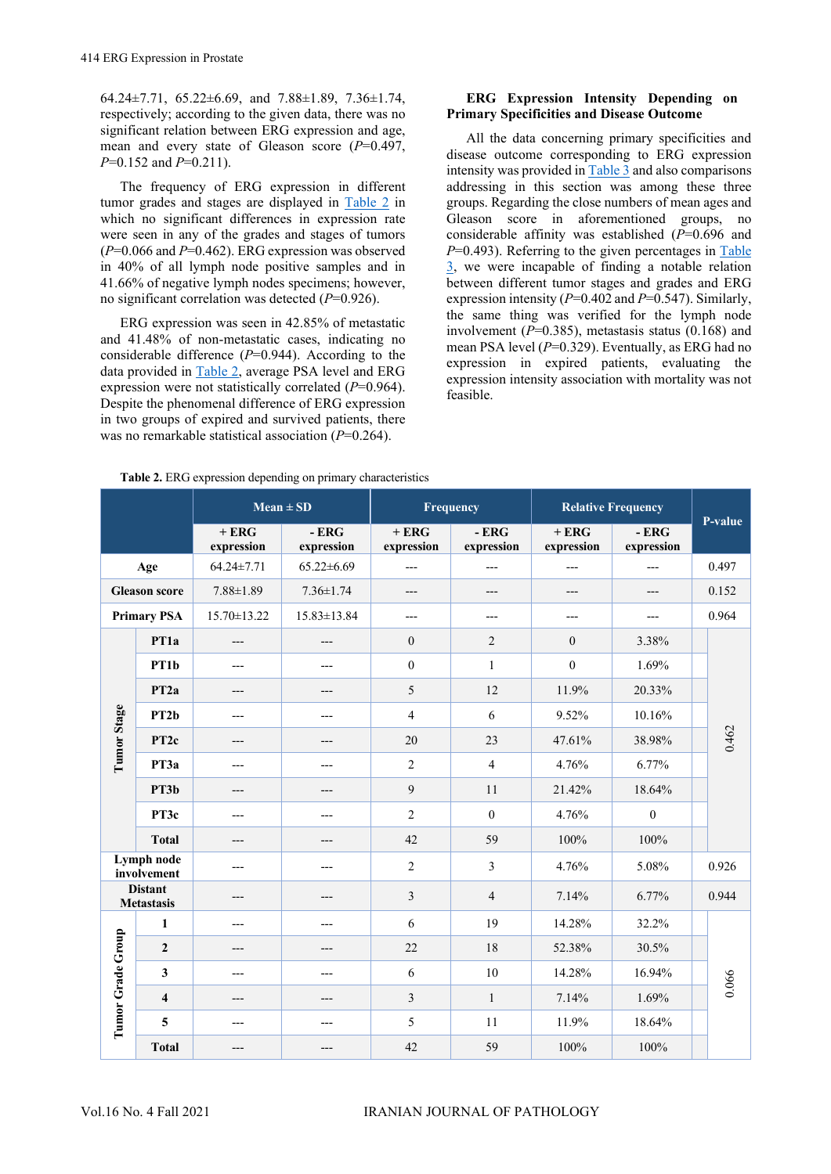64.24 $\pm$ 7.71, 65.22 $\pm$ 6.69, and 7.88 $\pm$ 1.89, 7.36 $\pm$ 1.74, respectively; according to the given data, there was no significant relation between ERG expression and age, mean and every state of Gleason score (*P*=0.497, *P*=0.152 and *P*=0.211).

The frequency of ERG expression in different tumor grades and stages are displayed in [Table 2](#page-3-0) in which no significant differences in expression rate were seen in any of the grades and stages of tumors (*P*=0.066 and *P*=0.462). ERG expression was observed in 40% of all lymph node positive samples and in 41.66% of negative lymph nodes specimens; however, no significant correlation was detected (*P*=0.926).

ERG expression was seen in 42.85% of metastatic and 41.48% of non-metastatic cases, indicating no considerable difference (*P*=0.944). According to the data provided in [Table 2,](#page-3-0) average PSA level and ERG expression were not statistically correlated (*P*=0.964). Despite the phenomenal difference of ERG expression in two groups of expired and survived patients, there was no remarkable statistical association (*P*=0.264).

### **ERG Expression Intensity Depending on Primary Specificities and Disease Outcome**

All the data concerning primary specificities and disease outcome corresponding to ERG expression intensity was provided i[n Table 3](#page-4-0) and also comparisons addressing in this section was among these three groups. Regarding the close numbers of mean ages and Gleason score in aforementioned groups, no considerable affinity was established (*P*=0.696 and *P*=0.493). Referring to the given percentages in Table [3,](#page-4-0) we were incapable of finding a notable relation between different tumor stages and grades and ERG expression intensity (*P*=0.402 and *P*=0.547). Similarly, the same thing was verified for the lymph node involvement  $(P=0.385)$ , metastasis status  $(0.168)$  and mean PSA level ( $P=0.329$ ). Eventually, as ERG had no expression in expired patients, evaluating the expression intensity association with mortality was not feasible.

<span id="page-3-0"></span>

|                                                                  |                         | $Mean \pm SD$        |                      |                      | Frequency            | <b>Relative Frequency</b> |                      |         |
|------------------------------------------------------------------|-------------------------|----------------------|----------------------|----------------------|----------------------|---------------------------|----------------------|---------|
|                                                                  |                         | $+ERG$<br>expression | $-ERG$<br>expression | $+ERG$<br>expression | $-ERG$<br>expression | $+ERG$<br>expression      | $-ERG$<br>expression | P-value |
|                                                                  | Age                     | $64.24 \pm 7.71$     | $65.22 \pm 6.69$     | $---$                | $---$                | $---$                     | $---$                | 0.497   |
| <b>Gleason score</b>                                             |                         | $7.88 \pm 1.89$      | $7.36 \pm 1.74$      | ---                  | $---$                | ---                       | ---                  | 0.152   |
| <b>Primary PSA</b>                                               |                         | 15.70±13.22          | 15.83±13.84          | $---$                | $---$                | ---                       | ---                  | 0.964   |
|                                                                  | PT <sub>1a</sub>        | ---                  | ---                  | $\mathbf{0}$         | $\overline{2}$       | $\mathbf{0}$              | 3.38%                |         |
|                                                                  | PT1b                    | ---                  | ---                  | $\boldsymbol{0}$     | $\mathbf{1}$         | $\mathbf{0}$              | 1.69%                |         |
|                                                                  | PT <sub>2a</sub>        | ---                  | ---                  | 5                    | 12                   | 11.9%                     | 20.33%               |         |
|                                                                  | PT <sub>2</sub> b       |                      | ---                  | $\overline{4}$       | 6                    | 9.52%                     | 10.16%               |         |
| Tumor Stage                                                      | PT <sub>2c</sub>        | ---                  | ---                  | 20                   | 23                   | 47.61%                    | 38.98%               | 0.462   |
|                                                                  | PT3a                    | $---$                | ---                  | $\overline{2}$       | $\overline{4}$       | 4.76%                     | 6.77%                |         |
|                                                                  | PT3b                    | ---                  | ---                  | 9                    | 11                   | 21.42%                    | 18.64%               |         |
|                                                                  | PT <sub>3c</sub>        | ---                  | ---                  | $\overline{2}$       | $\theta$             | 4.76%                     | $\boldsymbol{0}$     |         |
|                                                                  | <b>Total</b>            | ---                  | ---                  | 42                   | 59                   | 100%                      | 100%                 |         |
| Lymph node<br>involvement<br><b>Distant</b><br><b>Metastasis</b> |                         | ---                  | ---                  | $\overline{2}$       | $\mathfrak{Z}$       | 4.76%                     | 5.08%                | 0.926   |
|                                                                  |                         | ---                  | ---                  | $\overline{3}$       | $\overline{4}$       | 7.14%                     | 6.77%                | 0.944   |
|                                                                  | $\mathbf{1}$            | ---                  | ---                  | 6                    | 19                   | 14.28%                    | 32.2%                |         |
| Tumor Grade Group                                                | $\overline{2}$          | ---                  | ---                  | 22                   | 18                   | 52.38%                    | 30.5%                |         |
|                                                                  | 3                       |                      | ---                  | 6                    | 10                   | 14.28%                    | 16.94%               | 0.066   |
|                                                                  | $\overline{\mathbf{4}}$ | ---                  | ---                  | $\mathfrak{Z}$       | $\mathbf{1}$         | 7.14%                     | 1.69%                |         |
|                                                                  | 5                       | ---                  | ---                  | 5                    | 11                   | 11.9%                     | 18.64%               |         |
|                                                                  | <b>Total</b>            | ---                  | ---                  | 42                   | 59                   | 100%                      | 100%                 |         |

**Table 2.** ERG expression depending on primary characteristics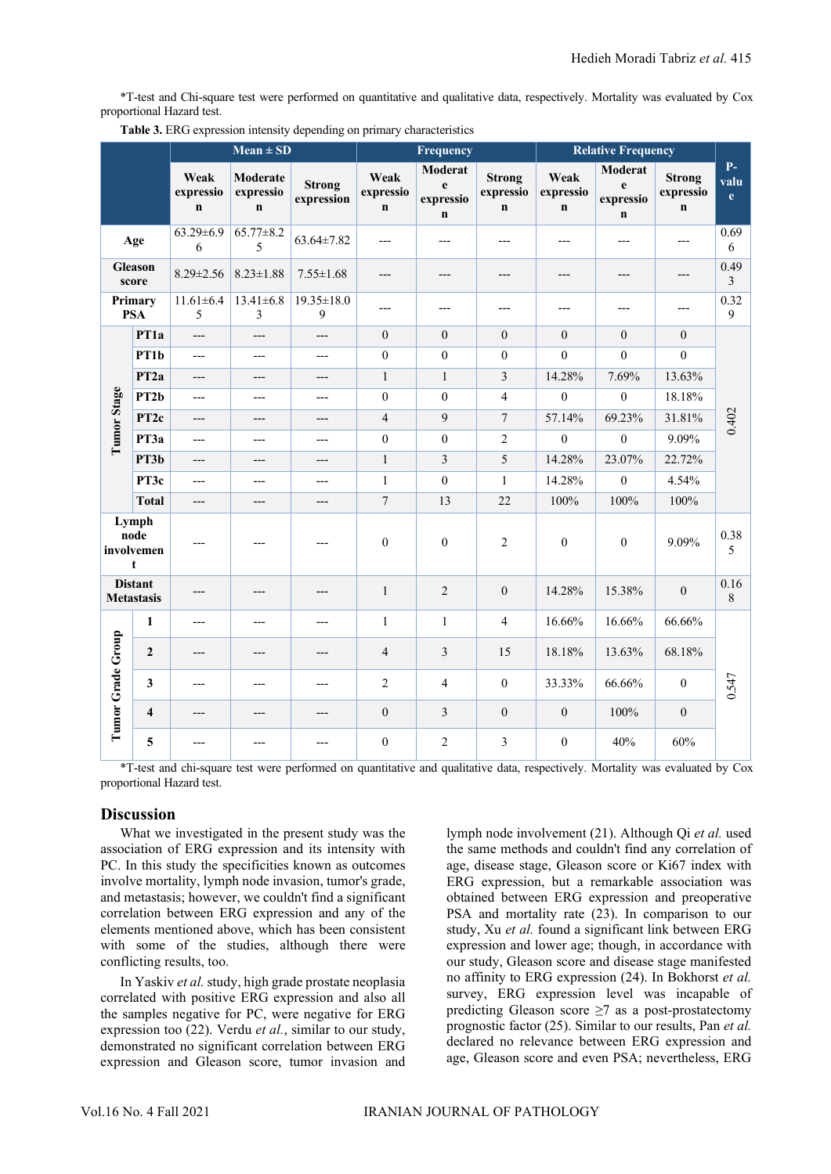\*T-test and Chi-square test were performed on quantitative and qualitative data, respectively. Mortality was evaluated by Cox proportional Hazard test.

|                   |                                     | $Mean \pm SD$                    |                                             | Frequency                        |                                  |                                          | <b>Relative Frequency</b>                 |                                  |                                          |                                           |                              |
|-------------------|-------------------------------------|----------------------------------|---------------------------------------------|----------------------------------|----------------------------------|------------------------------------------|-------------------------------------------|----------------------------------|------------------------------------------|-------------------------------------------|------------------------------|
|                   |                                     | Weak<br>expressio<br>$\mathbf n$ | <b>Moderate</b><br>expressio<br>$\mathbf n$ | <b>Strong</b><br>expression      | Weak<br>expressio<br>$\mathbf n$ | Moderat<br>e<br>expressio<br>$\mathbf n$ | <b>Strong</b><br>expressio<br>$\mathbf n$ | Weak<br>expressio<br>$\mathbf n$ | Moderat<br>e<br>expressio<br>$\mathbf n$ | <b>Strong</b><br>expressio<br>$\mathbf n$ | $P-$<br>valu<br>$\mathbf{e}$ |
|                   | Age                                 | $63.29 \pm 6.9$<br>6             | $65.77 \pm 8.2$<br>5                        | $63.64 \pm 7.82$                 | ---                              | ---                                      | ---                                       | ---                              | ---                                      | ---                                       | 0.69<br>6                    |
| Gleason<br>score  |                                     | $8.29 \pm 2.56$                  | $8.23 \pm 1.88$                             | $7.55 \pm 1.68$                  | ---                              | ---                                      | ---                                       | ---                              | ---                                      | ---                                       | 0.49<br>$\overline{3}$       |
|                   | Primary<br><b>PSA</b>               | $11.61 \pm 6.4$<br>5             | $13.41 \pm 6.8$<br>$\mathfrak{Z}$           | $19.35 \pm 18.0$<br>$\mathbf{9}$ | ---                              | $---$                                    | ---                                       | ---                              | ---                                      | $---$                                     | 0.32<br>9                    |
|                   | PT1a                                | $---$                            | ---                                         | ---                              | $\mathbf{0}$                     | $\mathbf{0}$                             | $\mathbf{0}$                              | $\mathbf{0}$                     | $\mathbf{0}$                             | $\mathbf{0}$                              | 0.402                        |
| Tumor Stage       | PT1b                                | $\overline{a}$                   | $---$                                       | $---$                            | $\boldsymbol{0}$                 | $\boldsymbol{0}$                         | $\mathbf{0}$                              | $\mathbf{0}$                     | $\boldsymbol{0}$                         | $\mathbf{0}$                              |                              |
|                   | PT <sub>2a</sub>                    | $---$                            | ---                                         | ---                              | $\mathbf{1}$                     | $\mathbf{1}$                             | $\mathfrak 3$                             | 14.28%                           | 7.69%                                    | 13.63%                                    |                              |
|                   | PT <sub>2</sub> b                   | $---$                            | ---                                         | ---                              | $\boldsymbol{0}$                 | $\theta$                                 | $\overline{4}$                            | $\mathbf{0}$                     | $\boldsymbol{0}$                         | 18.18%                                    |                              |
|                   | PT <sub>2c</sub>                    | $---$                            | ---                                         | ---                              | $\overline{4}$                   | 9                                        | $\tau$                                    | 57.14%                           | 69.23%                                   | 31.81%                                    |                              |
|                   | PT3a                                | $---$                            | ---                                         | $---$                            | $\boldsymbol{0}$                 | $\boldsymbol{0}$                         | $\sqrt{2}$                                | $\boldsymbol{0}$                 | $\boldsymbol{0}$                         | 9.09%                                     |                              |
|                   | PT3b                                | $---$                            | ---                                         | $---$                            | $\mathbf{1}$                     | $\mathfrak{Z}$                           | 5                                         | 14.28%                           | 23.07%                                   | 22.72%                                    |                              |
|                   | PT3c                                | $---$                            | ---                                         | ---                              | $\mathbf{1}$                     | $\boldsymbol{0}$                         | $\mathbf{1}$                              | 14.28%                           | $\boldsymbol{0}$                         | 4.54%                                     |                              |
|                   | <b>Total</b>                        | $---$                            | ---                                         | ---                              | $\tau$                           | 13                                       | 22                                        | 100%                             | 100%                                     | 100%                                      |                              |
|                   | Lymph<br>node<br>involvemen<br>t    | ---                              | ---                                         | ---                              | $\boldsymbol{0}$                 | $\mathbf{0}$                             | $\overline{c}$                            | $\boldsymbol{0}$                 | $\boldsymbol{0}$                         | 9.09%                                     | 0.38<br>5                    |
|                   | <b>Distant</b><br><b>Metastasis</b> | ---                              | ---                                         | ---                              | $\mathbf{1}$                     | $\overline{2}$                           | $\boldsymbol{0}$                          | 14.28%                           | 15.38%                                   | $\boldsymbol{0}$                          | 0.16<br>8                    |
|                   | 1                                   | ---                              | ---                                         | ---                              | $\mathbf{1}$                     | $\mathbf{1}$                             | $\overline{4}$                            | 16.66%                           | 16.66%                                   | 66.66%                                    | 0.547                        |
| Tumor Grade Group | $\overline{2}$                      | ---                              | ---                                         | ---                              | $\overline{4}$                   | $\mathfrak{Z}$                           | 15                                        | 18.18%                           | 13.63%                                   | 68.18%                                    |                              |
|                   | $\mathbf{3}$                        | $---$                            | ---                                         | ---                              | $\overline{2}$                   | $\overline{4}$                           | $\boldsymbol{0}$                          | 33.33%                           | 66.66%                                   | $\boldsymbol{0}$                          |                              |
|                   | $\overline{\mathbf{4}}$             | ---                              | ---                                         | ---                              | $\mathbf{0}$                     | 3                                        | $\mathbf{0}$                              | $\boldsymbol{0}$                 | 100%                                     | $\mathbf{0}$                              |                              |
|                   | 5                                   | $---$                            | ---                                         | ---                              | $\boldsymbol{0}$                 | $\overline{2}$                           | $\mathfrak{Z}$                            | $\boldsymbol{0}$                 | 40%                                      | 60%                                       |                              |

<span id="page-4-0"></span>**Table 3.** ERG expression intensity depending on primary characteristics

\*T-test and chi-square test were performed on quantitative and qualitative data, respectively. Mortality was evaluated by Cox proportional Hazard test.

### **Discussion**

What we investigated in the present study was the association of ERG expression and its intensity with PC. In this study the specificities known as outcomes involve mortality, lymph node invasion, tumor's grade, and metastasis; however, we couldn't find a significant correlation between ERG expression and any of the elements mentioned above, which has been consistent with some of the studies, although there were conflicting results, too.

In Yaskiv *et al.* study, high grade prostate neoplasia correlated with positive ERG expression and also all the samples negative for PC, were negative for ERG expression too (22). Verdu *et al.*, similar to our study, demonstrated no significant correlation between ERG expression and Gleason score, tumor invasion and lymph node involvement (21). Although Qi *et al.* used the same methods and couldn't find any correlation of age, disease stage, Gleason score or Ki67 index with ERG expression, but a remarkable association was obtained between ERG expression and preoperative PSA and mortality rate (23). In comparison to our study, Xu *et al.* found a significant link between ERG expression and lower age; though, in accordance with our study, Gleason score and disease stage manifested no affinity to ERG expression (24). In Bokhorst *et al.* survey, ERG expression level was incapable of predicting Gleason score  $\geq$ 7 as a post-prostatectomy prognostic factor (25). Similar to our results, Pan *et al.* declared no relevance between ERG expression and age, Gleason score and even PSA; nevertheless, ERG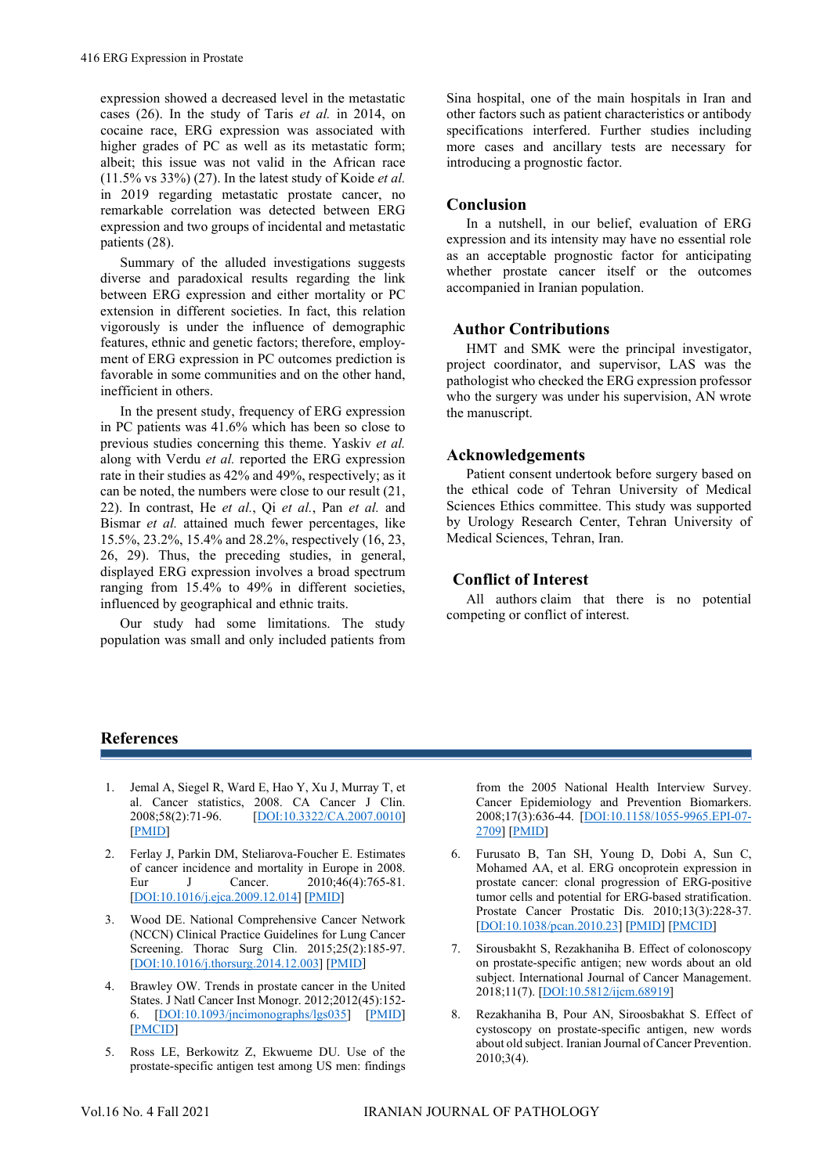expression showed a decreased level in the metastatic cases (26). In the study of Taris *et al.* in 2014, on cocaine race, ERG expression was associated with higher grades of PC as well as its metastatic form; albeit; this issue was not valid in the African race (11.5% vs 33%) (27). In the latest study of Koide *et al.* in 2019 regarding metastatic prostate cancer, no remarkable correlation was detected between ERG expression and two groups of incidental and metastatic patients (28).

Summary of the alluded investigations suggests diverse and paradoxical results regarding the link between ERG expression and either mortality or PC extension in different societies. In fact, this relation vigorously is under the influence of demographic features, ethnic and genetic factors; therefore, employment of ERG expression in PC outcomes prediction is favorable in some communities and on the other hand, inefficient in others.

In the present study, frequency of ERG expression in PC patients was 41.6% which has been so close to previous studies concerning this theme. Yaskiv *et al.* along with Verdu *et al.* reported the ERG expression rate in their studies as 42% and 49%, respectively; as it can be noted, the numbers were close to our result (21, 22). In contrast, He *et al.*, Qi *et al.*, Pan *et al.* and Bismar *et al.* attained much fewer percentages, like 15.5%, 23.2%, 15.4% and 28.2%, respectively (16, 23, 26, 29). Thus, the preceding studies, in general, displayed ERG expression involves a broad spectrum ranging from 15.4% to 49% in different societies, influenced by geographical and ethnic traits.

Our study had some limitations. The study population was small and only included patients from Sina hospital, one of the main hospitals in Iran and other factors such as patient characteristics or antibody specifications interfered. Further studies including more cases and ancillary tests are necessary for introducing a prognostic factor.

### **Conclusion**

In a nutshell, in our belief, evaluation of ERG expression and its intensity may have no essential role as an acceptable prognostic factor for anticipating whether prostate cancer itself or the outcomes accompanied in Iranian population.

### **Author Contributions**

HMT and SMK were the principal investigator, project coordinator, and supervisor, LAS was the pathologist who checked the ERG expression professor who the surgery was under his supervision, AN wrote the manuscript.

### **Acknowledgements**

Patient consent undertook before surgery based on the ethical code of Tehran University of Medical Sciences Ethics committee. This study was supported by Urology Research Center, Tehran University of Medical Sciences, Tehran, Iran.

## **Conflict of Interest**

All authors claim that there is no potential competing or conflict of interest.

### **References**

- 1. Jemal A, Siegel R, Ward E, Hao Y, Xu J, Murray T, et al. Cancer statistics, 2008. CA Cancer J Clin. 2008;58(2):71-96. [\[DOI:10.3322/CA.2007.0010\]](https://doi.org/10.3322/CA.2007.0010) [\[PMID\]](https://www.ncbi.nlm.nih.gov/pubmed/18287387)
- 2. Ferlay J, Parkin DM, Steliarova-Foucher E. Estimates of cancer incidence and mortality in Europe in 2008. Eur J Cancer. 2010;46(4):765-81. [\[DOI:10.1016/j.ejca.2009.12.014\]](https://doi.org/10.1016/j.ejca.2009.12.014) [\[PMID\]](https://www.ncbi.nlm.nih.gov/pubmed/20116997)
- 3. Wood DE. National Comprehensive Cancer Network (NCCN) Clinical Practice Guidelines for Lung Cancer Screening. Thorac Surg Clin. 2015;25(2):185-97. [\[DOI:10.1016/j.thorsurg.2014.12.003\]](https://doi.org/10.1016/j.thorsurg.2014.12.003) [\[PMID\]](https://www.ncbi.nlm.nih.gov/pubmed/25901562)
- 4. Brawley OW. Trends in prostate cancer in the United States. J Natl Cancer Inst Monogr. 2012;2012(45):152- 6. [\[DOI:10.1093/jncimonographs/lgs035\]](https://doi.org/10.1093/jncimonographs/lgs035) [\[PMID\]](https://www.ncbi.nlm.nih.gov/pubmed/23271766) [\[PMCID\]](http://www.ncbi.nlm.nih.gov/pmc/articles/PMC3540881)
- 5. Ross LE, Berkowitz Z, Ekwueme DU. Use of the prostate-specific antigen test among US men: findings

from the 2005 National Health Interview Survey. Cancer Epidemiology and Prevention Biomarkers. 2008;17(3):636-44. [\[DOI:10.1158/1055-9965.EPI-07-](https://doi.org/10.1158/1055-9965.EPI-07-2709) [2709\]](https://doi.org/10.1158/1055-9965.EPI-07-2709) [\[PMID\]](https://www.ncbi.nlm.nih.gov/pubmed/18349281)

- 6. Furusato B, Tan SH, Young D, Dobi A, Sun C, Mohamed AA, et al. ERG oncoprotein expression in prostate cancer: clonal progression of ERG-positive tumor cells and potential for ERG-based stratification. Prostate Cancer Prostatic Dis. 2010;13(3):228-37. [\[DOI:10.1038/pcan.2010.23\]](https://doi.org/10.1038/pcan.2010.23) [\[PMID\]](https://www.ncbi.nlm.nih.gov/pubmed/20585344) [\[PMCID\]](http://www.ncbi.nlm.nih.gov/pmc/articles/PMC3010744)
- 7. Sirousbakht S, Rezakhaniha B. Effect of colonoscopy on prostate-specific antigen; new words about an old subject. International Journal of Cancer Management. 2018;11(7). [\[DOI:10.5812/ijcm.68919\]](https://doi.org/10.5812/ijcm.68919)
- 8. Rezakhaniha B, Pour AN, Siroosbakhat S. Effect of cystoscopy on prostate-specific antigen, new words about old subject. Iranian Journal of Cancer Prevention. 2010;3(4).